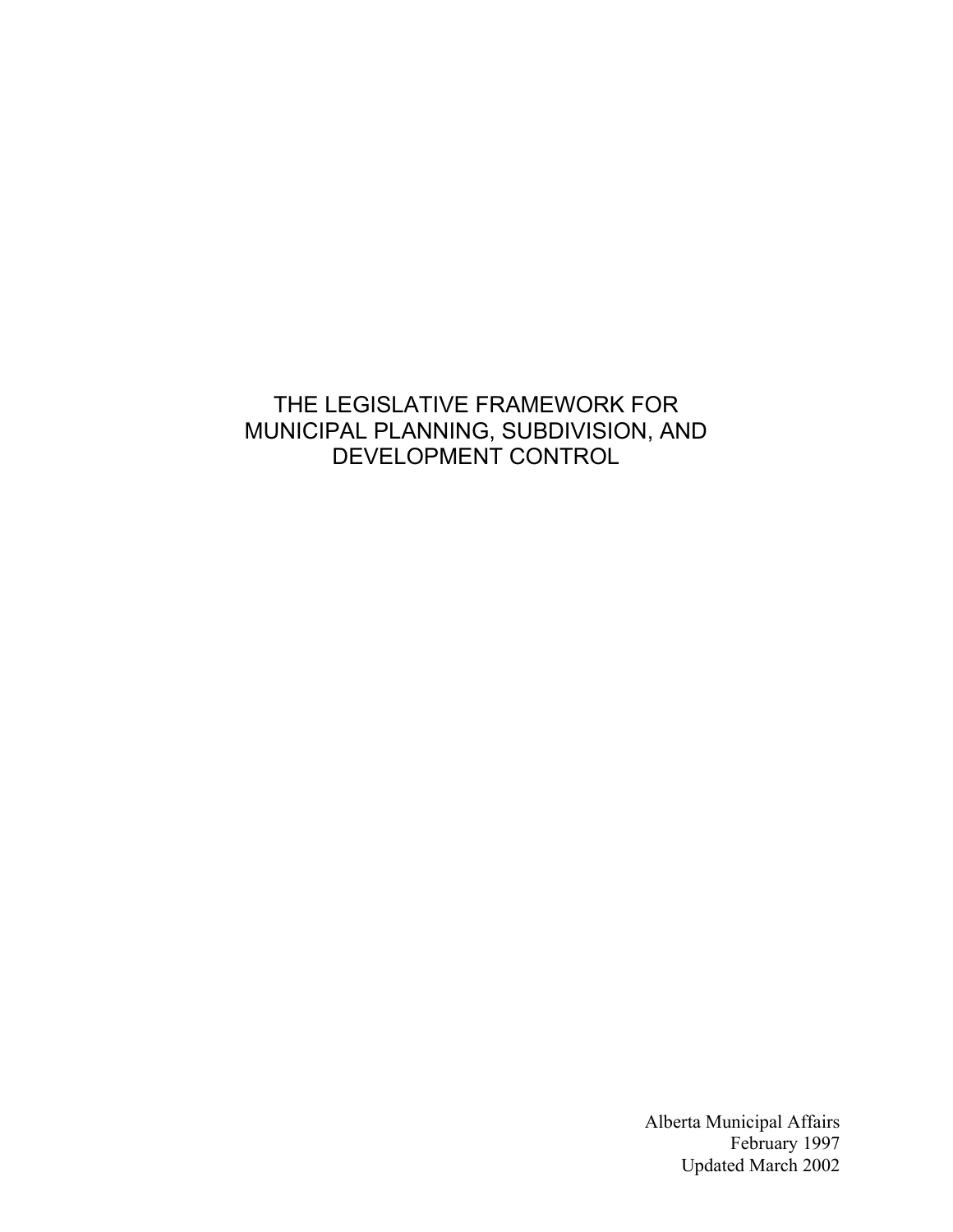# THE LEGISLATIVE FRAMEWORK FOR MUNICIPAL PLANNING, SUBDIVISION, AND DEVELOPMENT CONTROL

Alberta Municipal Affairs February 1997 Updated March 2002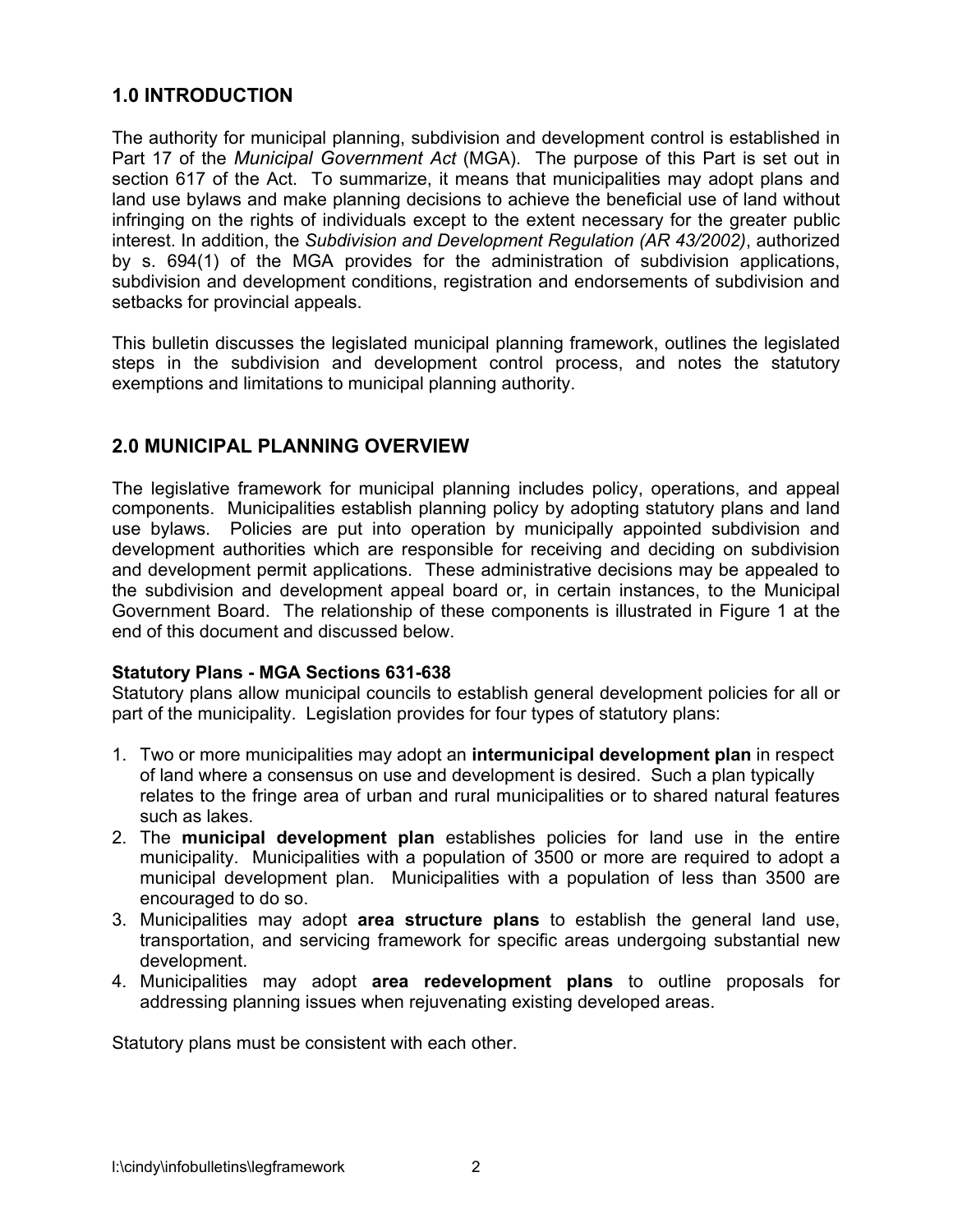## **1.0 INTRODUCTION**

The authority for municipal planning, subdivision and development control is established in Part 17 of the *Municipal Government Act* (MGA). The purpose of this Part is set out in section 617 of the Act. To summarize, it means that municipalities may adopt plans and land use bylaws and make planning decisions to achieve the beneficial use of land without infringing on the rights of individuals except to the extent necessary for the greater public interest. In addition, the *Subdivision and Development Regulation (AR 43/2002)*, authorized by s. 694(1) of the MGA provides for the administration of subdivision applications, subdivision and development conditions, registration and endorsements of subdivision and setbacks for provincial appeals.

This bulletin discusses the legislated municipal planning framework, outlines the legislated steps in the subdivision and development control process, and notes the statutory exemptions and limitations to municipal planning authority.

## **2.0 MUNICIPAL PLANNING OVERVIEW**

The legislative framework for municipal planning includes policy, operations, and appeal components. Municipalities establish planning policy by adopting statutory plans and land use bylaws. Policies are put into operation by municipally appointed subdivision and development authorities which are responsible for receiving and deciding on subdivision and development permit applications. These administrative decisions may be appealed to the subdivision and development appeal board or, in certain instances, to the Municipal Government Board. The relationship of these components is illustrated in Figure 1 at the end of this document and discussed below.

#### **Statutory Plans - MGA Sections 631-638**

Statutory plans allow municipal councils to establish general development policies for all or part of the municipality. Legislation provides for four types of statutory plans:

- 1. Two or more municipalities may adopt an **intermunicipal development plan** in respect of land where a consensus on use and development is desired. Such a plan typically relates to the fringe area of urban and rural municipalities or to shared natural features such as lakes.
- 2. The **municipal development plan** establishes policies for land use in the entire municipality. Municipalities with a population of 3500 or more are required to adopt a municipal development plan. Municipalities with a population of less than 3500 are encouraged to do so.
- 3. Municipalities may adopt **area structure plans** to establish the general land use, transportation, and servicing framework for specific areas undergoing substantial new development.
- 4. Municipalities may adopt **area redevelopment plans** to outline proposals for addressing planning issues when rejuvenating existing developed areas.

Statutory plans must be consistent with each other.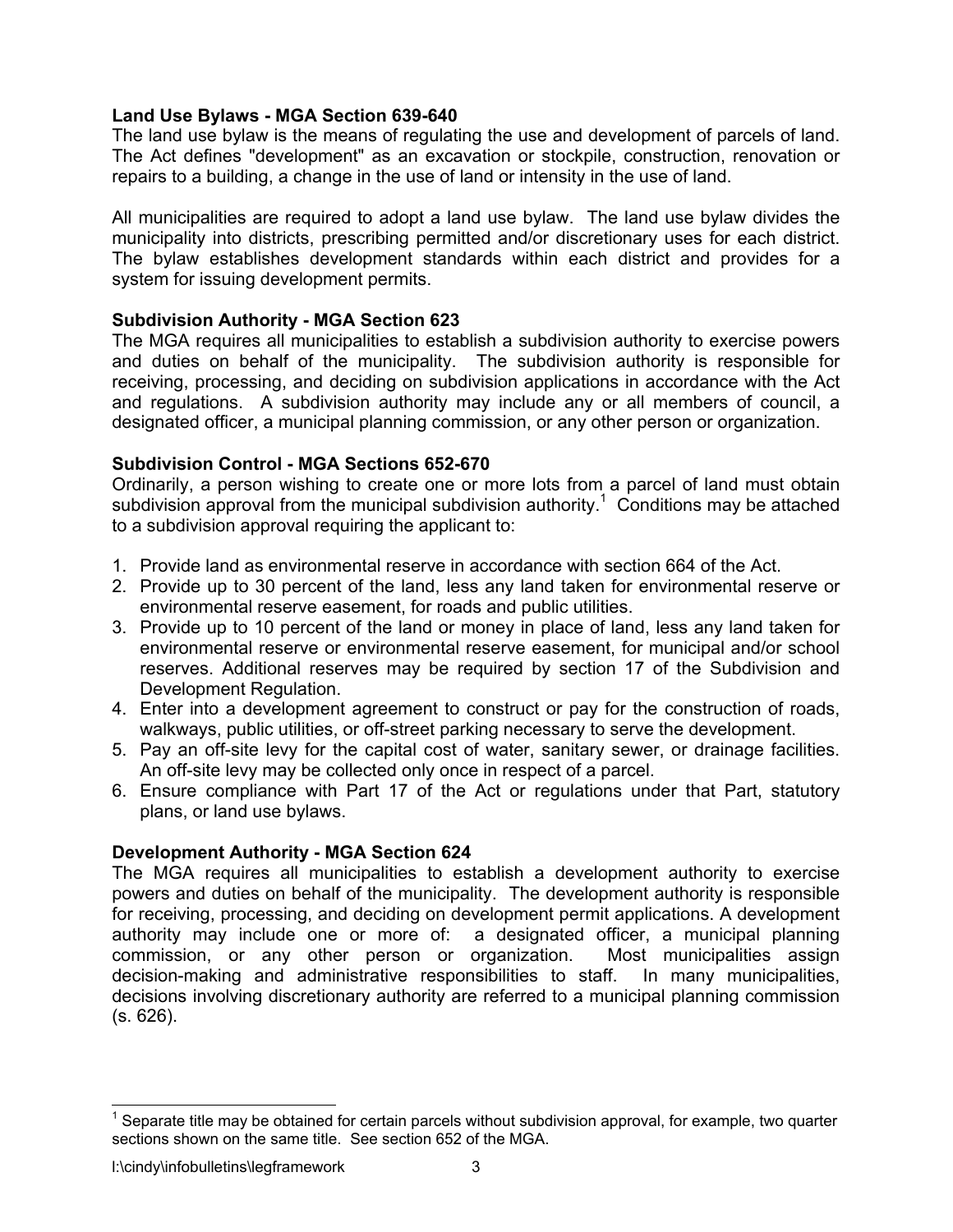### **Land Use Bylaws - MGA Section 639-640**

The land use bylaw is the means of regulating the use and development of parcels of land. The Act defines "development" as an excavation or stockpile, construction, renovation or repairs to a building, a change in the use of land or intensity in the use of land.

All municipalities are required to adopt a land use bylaw. The land use bylaw divides the municipality into districts, prescribing permitted and/or discretionary uses for each district. The bylaw establishes development standards within each district and provides for a system for issuing development permits.

### **Subdivision Authority - MGA Section 623**

The MGA requires all municipalities to establish a subdivision authority to exercise powers and duties on behalf of the municipality. The subdivision authority is responsible for receiving, processing, and deciding on subdivision applications in accordance with the Act and regulations. A subdivision authority may include any or all members of council, a designated officer, a municipal planning commission, or any other person or organization.

### **Subdivision Control - MGA Sections 652-670**

Ordinarily, a person wishing to create one or more lots from a parcel of land must obtain subdivision approval from the municipal subdivision authority.<sup>1</sup> Conditions may be attached to a subdivision approval requiring the applicant to:

- 1. Provide land as environmental reserve in accordance with section 664 of the Act.
- 2. Provide up to 30 percent of the land, less any land taken for environmental reserve or environmental reserve easement, for roads and public utilities.
- 3. Provide up to 10 percent of the land or money in place of land, less any land taken for environmental reserve or environmental reserve easement, for municipal and/or school reserves. Additional reserves may be required by section 17 of the Subdivision and Development Regulation.
- 4. Enter into a development agreement to construct or pay for the construction of roads, walkways, public utilities, or off-street parking necessary to serve the development.
- 5. Pay an off-site levy for the capital cost of water, sanitary sewer, or drainage facilities. An off-site levy may be collected only once in respect of a parcel.
- 6. Ensure compliance with Part 17 of the Act or regulations under that Part, statutory plans, or land use bylaws.

## **Development Authority - MGA Section 624**

The MGA requires all municipalities to establish a development authority to exercise powers and duties on behalf of the municipality. The development authority is responsible for receiving, processing, and deciding on development permit applications. A development authority may include one or more of: a designated officer, a municipal planning commission, or any other person or organization. Most municipalities assign decision-making and administrative responsibilities to staff. In many municipalities, decisions involving discretionary authority are referred to a municipal planning commission (s. 626).

1

Separate title may be obtained for certain parcels without subdivision approval, for example, two quarter sections shown on the same title. See section 652 of the MGA.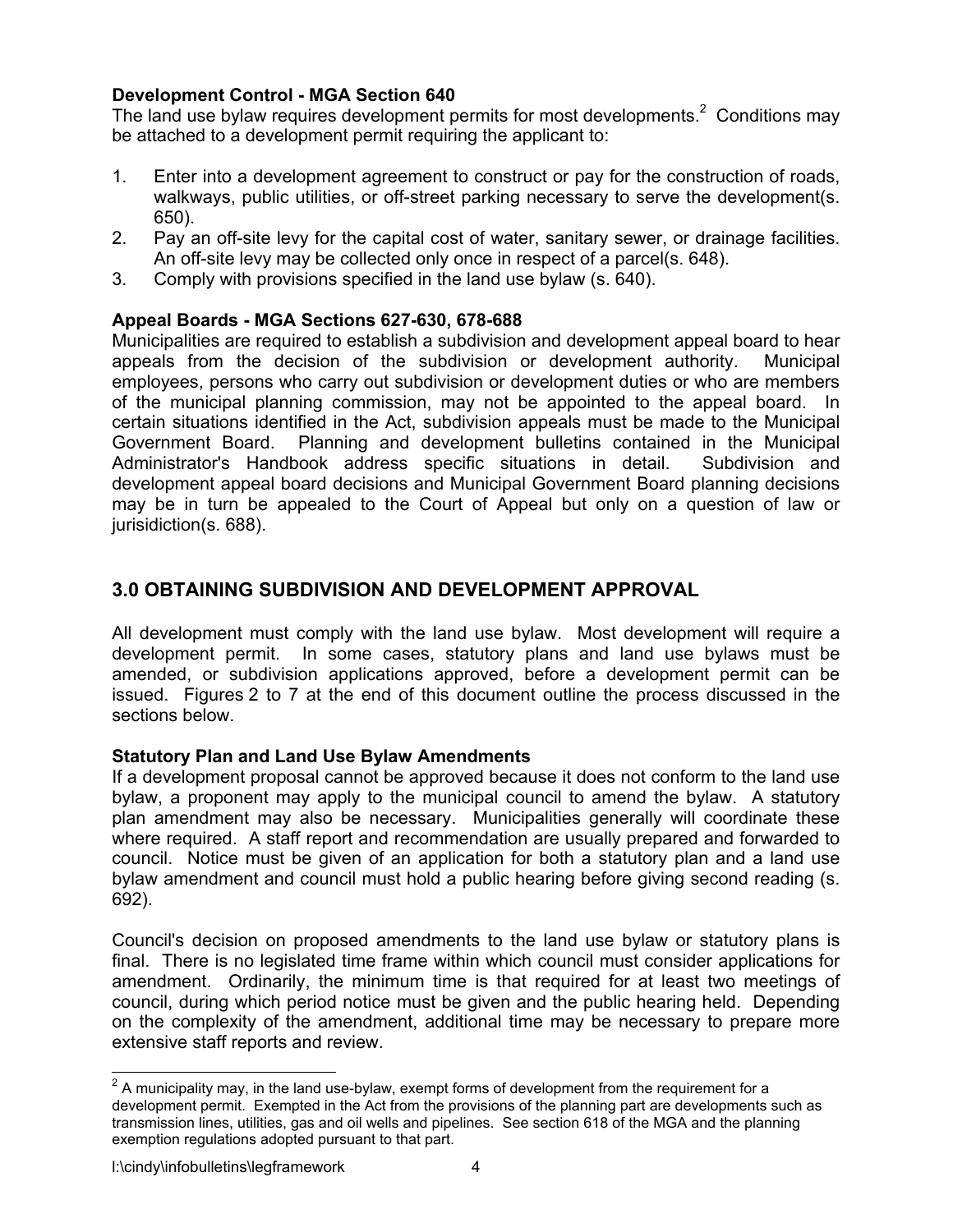## **Development Control - MGA Section 640**

The land use bylaw requires development permits for most developments.<sup>2</sup> Conditions may be attached to a development permit requiring the applicant to:

- 1. Enter into a development agreement to construct or pay for the construction of roads, walkways, public utilities, or off-street parking necessary to serve the development (s. 650).
- 2. Pay an off-site levy for the capital cost of water, sanitary sewer, or drainage facilities. An off-site levy may be collected only once in respect of a parcel(s. 648).
- 3. Comply with provisions specified in the land use bylaw (s. 640).

### **Appeal Boards - MGA Sections 627-630, 678-688**

Municipalities are required to establish a subdivision and development appeal board to hear appeals from the decision of the subdivision or development authority. Municipal employees, persons who carry out subdivision or development duties or who are members of the municipal planning commission, may not be appointed to the appeal board. In certain situations identified in the Act, subdivision appeals must be made to the Municipal Government Board. Planning and development bulletins contained in the Municipal Administrator's Handbook address specific situations in detail. Subdivision and development appeal board decisions and Municipal Government Board planning decisions may be in turn be appealed to the Court of Appeal but only on a question of law or jurisidiction(s. 688).

## **3.0 OBTAINING SUBDIVISION AND DEVELOPMENT APPROVAL**

All development must comply with the land use bylaw. Most development will require a development permit. In some cases, statutory plans and land use bylaws must be amended, or subdivision applications approved, before a development permit can be issued. Figures 2 to 7 at the end of this document outline the process discussed in the sections below.

#### **Statutory Plan and Land Use Bylaw Amendments**

If a development proposal cannot be approved because it does not conform to the land use bylaw, a proponent may apply to the municipal council to amend the bylaw. A statutory plan amendment may also be necessary. Municipalities generally will coordinate these where required. A staff report and recommendation are usually prepared and forwarded to council. Notice must be given of an application for both a statutory plan and a land use bylaw amendment and council must hold a public hearing before giving second reading (s. 692).

Council's decision on proposed amendments to the land use bylaw or statutory plans is final. There is no legislated time frame within which council must consider applications for amendment. Ordinarily, the minimum time is that required for at least two meetings of council, during which period notice must be given and the public hearing held. Depending on the complexity of the amendment, additional time may be necessary to prepare more extensive staff reports and review.

1

 $2$  A municipality may, in the land use-bylaw, exempt forms of development from the requirement for a development permit. Exempted in the Act from the provisions of the planning part are developments such as transmission lines, utilities, gas and oil wells and pipelines. See section 618 of the MGA and the planning exemption regulations adopted pursuant to that part.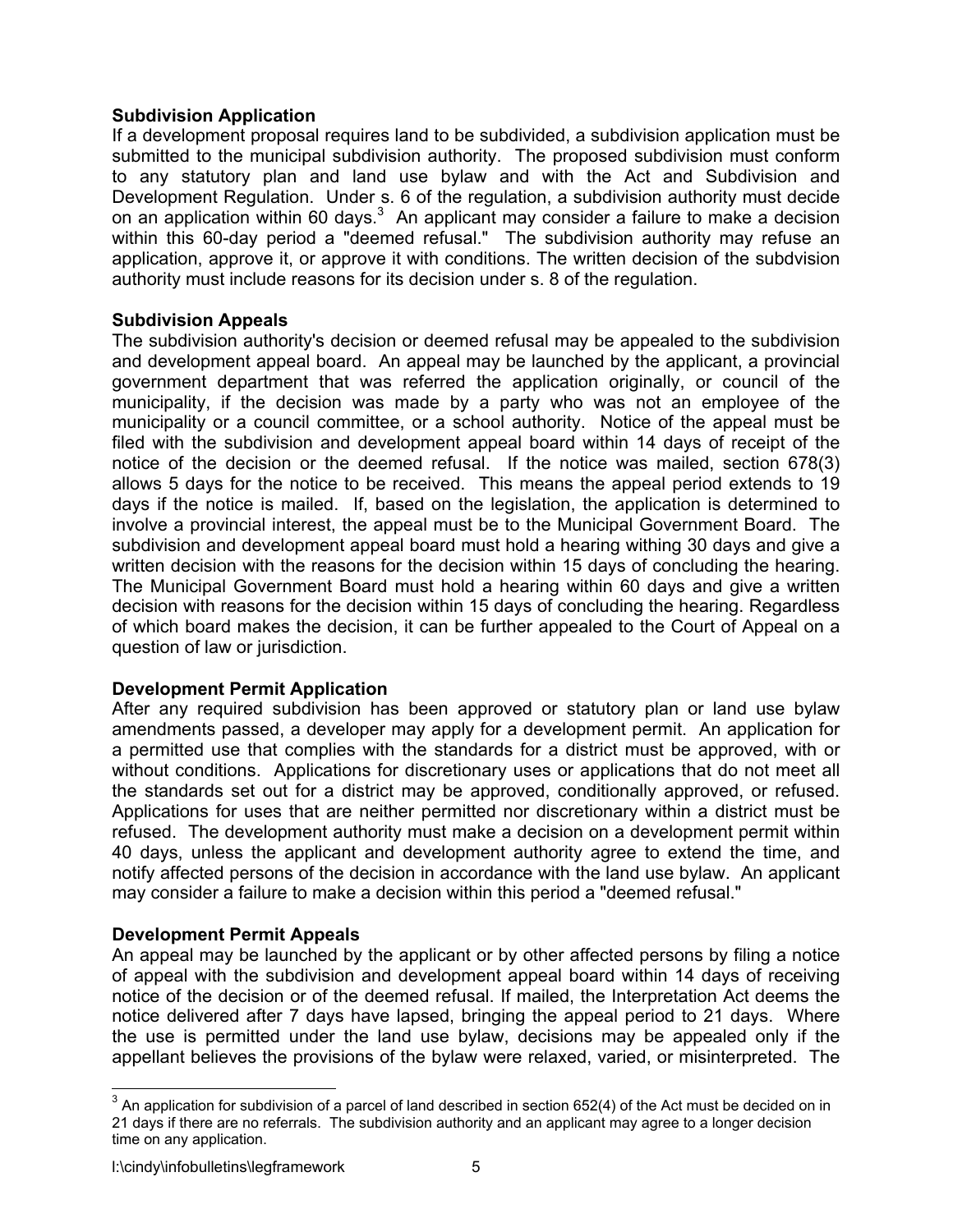### **Subdivision Application**

If a development proposal requires land to be subdivided, a subdivision application must be submitted to the municipal subdivision authority. The proposed subdivision must conform to any statutory plan and land use bylaw and with the Act and Subdivision and Development Regulation. Under s. 6 of the regulation, a subdivision authority must decide on an application within 60 days. $3$  An applicant may consider a failure to make a decision within this 60-day period a "deemed refusal." The subdivision authority may refuse an application, approve it, or approve it with conditions. The written decision of the subdvision authority must include reasons for its decision under s. 8 of the regulation.

### **Subdivision Appeals**

The subdivision authority's decision or deemed refusal may be appealed to the subdivision and development appeal board. An appeal may be launched by the applicant, a provincial government department that was referred the application originally, or council of the municipality, if the decision was made by a party who was not an employee of the municipality or a council committee, or a school authority. Notice of the appeal must be filed with the subdivision and development appeal board within 14 days of receipt of the notice of the decision or the deemed refusal. If the notice was mailed, section 678(3) allows 5 days for the notice to be received. This means the appeal period extends to 19 days if the notice is mailed. If, based on the legislation, the application is determined to involve a provincial interest, the appeal must be to the Municipal Government Board. The subdivision and development appeal board must hold a hearing withing 30 days and give a written decision with the reasons for the decision within 15 days of concluding the hearing. The Municipal Government Board must hold a hearing within 60 days and give a written decision with reasons for the decision within 15 days of concluding the hearing. Regardless of which board makes the decision, it can be further appealed to the Court of Appeal on a question of law or jurisdiction.

## **Development Permit Application**

After any required subdivision has been approved or statutory plan or land use bylaw amendments passed, a developer may apply for a development permit. An application for a permitted use that complies with the standards for a district must be approved, with or without conditions. Applications for discretionary uses or applications that do not meet all the standards set out for a district may be approved, conditionally approved, or refused. Applications for uses that are neither permitted nor discretionary within a district must be refused. The development authority must make a decision on a development permit within 40 days, unless the applicant and development authority agree to extend the time, and notify affected persons of the decision in accordance with the land use bylaw. An applicant may consider a failure to make a decision within this period a "deemed refusal."

## **Development Permit Appeals**

An appeal may be launched by the applicant or by other affected persons by filing a notice of appeal with the subdivision and development appeal board within 14 days of receiving notice of the decision or of the deemed refusal. If mailed, the Interpretation Act deems the notice delivered after 7 days have lapsed, bringing the appeal period to 21 days. Where the use is permitted under the land use bylaw, decisions may be appealed only if the appellant believes the provisions of the bylaw were relaxed, varied, or misinterpreted. The

1

 $3$  An application for subdivision of a parcel of land described in section 652(4) of the Act must be decided on in 21 days if there are no referrals. The subdivision authority and an applicant may agree to a longer decision time on any application.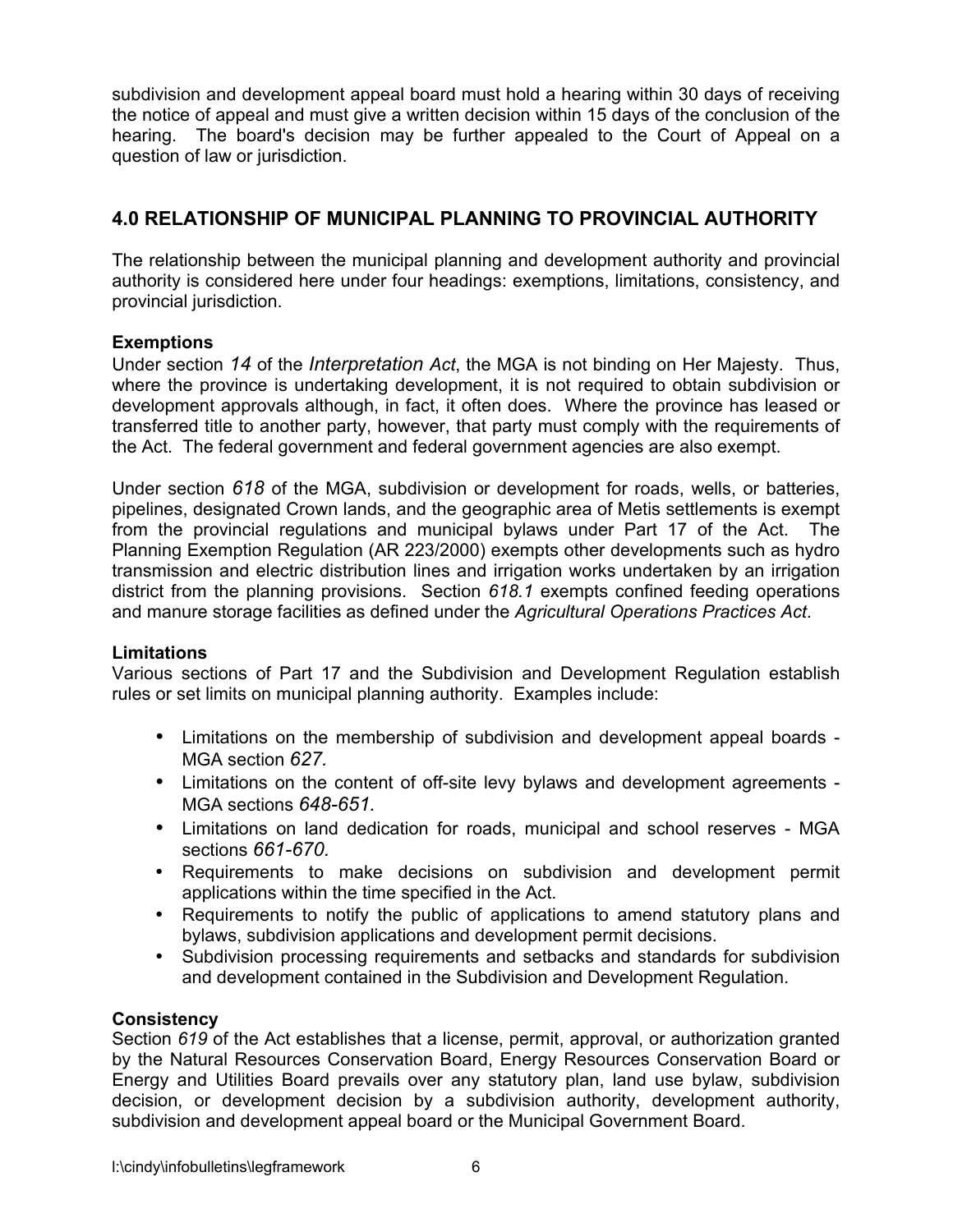subdivision and development appeal board must hold a hearing within 30 days of receiving the notice of appeal and must give a written decision within 15 days of the conclusion of the hearing. The board's decision may be further appealed to the Court of Appeal on a question of law or jurisdiction.

## **4.0 RELATIONSHIP OF MUNICIPAL PLANNING TO PROVINCIAL AUTHORITY**

The relationship between the municipal planning and development authority and provincial authority is considered here under four headings: exemptions, limitations, consistency, and provincial jurisdiction.

## **Exemptions**

Under section *14* of the *Interpretation Act*, the MGA is not binding on Her Majesty. Thus, where the province is undertaking development, it is not required to obtain subdivision or development approvals although, in fact, it often does. Where the province has leased or transferred title to another party, however, that party must comply with the requirements of the Act. The federal government and federal government agencies are also exempt.

Under section *618* of the MGA, subdivision or development for roads, wells, or batteries, pipelines, designated Crown lands, and the geographic area of Metis settlements is exempt from the provincial regulations and municipal bylaws under Part 17 of the Act. The Planning Exemption Regulation (AR 223/2000) exempts other developments such as hydro transmission and electric distribution lines and irrigation works undertaken by an irrigation district from the planning provisions. Section *618.1* exempts confined feeding operations and manure storage facilities as defined under the *Agricultural Operations Practices Act*.

#### **Limitations**

Various sections of Part 17 and the Subdivision and Development Regulation establish rules or set limits on municipal planning authority. Examples include:

- Limitations on the membership of subdivision and development appeal boards MGA section *627.*
- Limitations on the content of off-site levy bylaws and development agreements MGA sections *648-651.*
- Limitations on land dedication for roads, municipal and school reserves MGA sections *661-670.*
- Requirements to make decisions on subdivision and development permit applications within the time specified in the Act.
- Requirements to notify the public of applications to amend statutory plans and bylaws, subdivision applications and development permit decisions.
- Subdivision processing requirements and setbacks and standards for subdivision and development contained in the Subdivision and Development Regulation.

## **Consistency**

Section *619* of the Act establishes that a license, permit, approval, or authorization granted by the Natural Resources Conservation Board, Energy Resources Conservation Board or Energy and Utilities Board prevails over any statutory plan, land use bylaw, subdivision decision, or development decision by a subdivision authority, development authority, subdivision and development appeal board or the Municipal Government Board.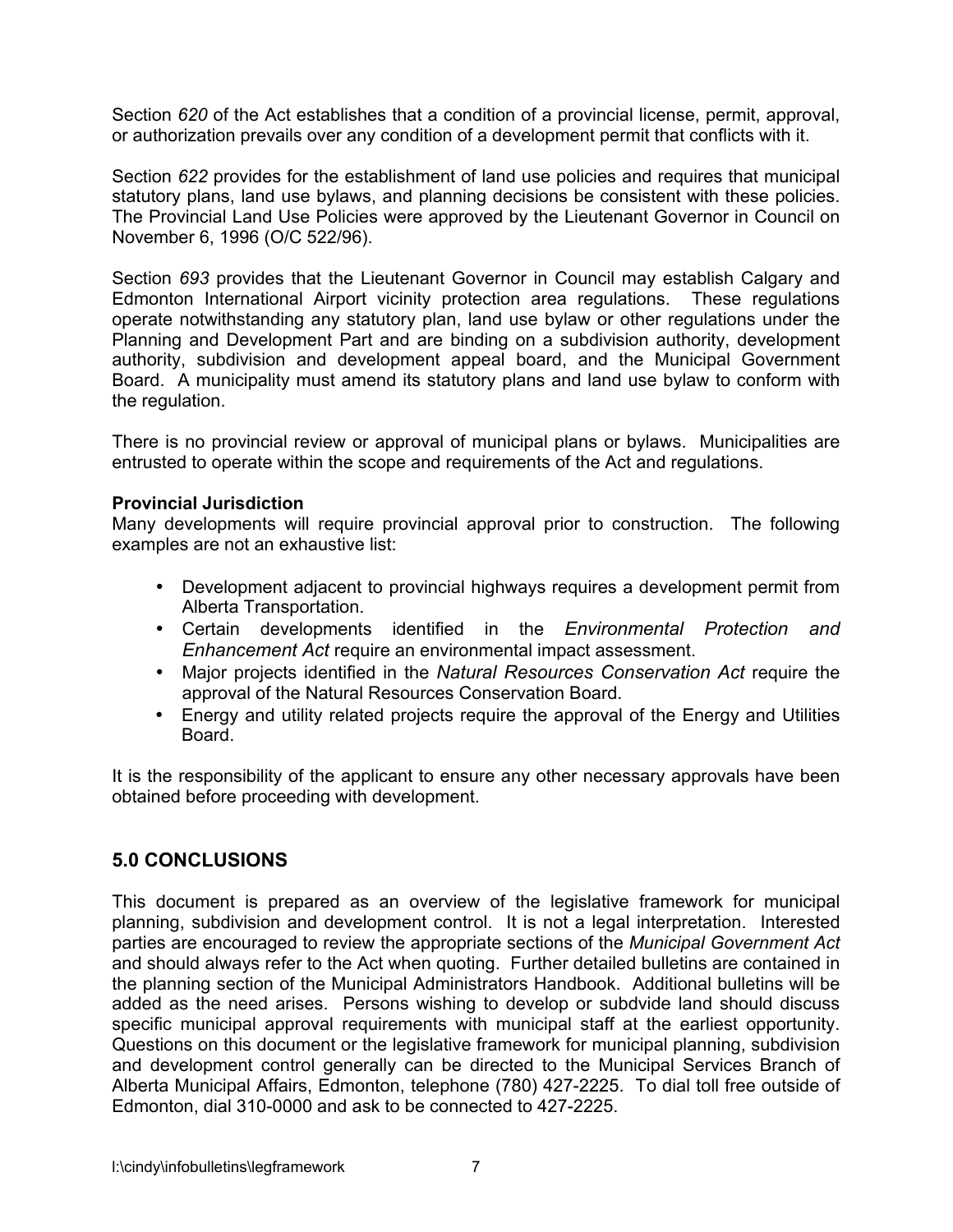Section *620* of the Act establishes that a condition of a provincial license, permit, approval, or authorization prevails over any condition of a development permit that conflicts with it.

Section *622* provides for the establishment of land use policies and requires that municipal statutory plans, land use bylaws, and planning decisions be consistent with these policies. The Provincial Land Use Policies were approved by the Lieutenant Governor in Council on November 6, 1996 (O/C 522/96).

Section *693* provides that the Lieutenant Governor in Council may establish Calgary and Edmonton International Airport vicinity protection area regulations. These regulations operate notwithstanding any statutory plan, land use bylaw or other regulations under the Planning and Development Part and are binding on a subdivision authority, development authority, subdivision and development appeal board, and the Municipal Government Board. A municipality must amend its statutory plans and land use bylaw to conform with the regulation.

There is no provincial review or approval of municipal plans or bylaws. Municipalities are entrusted to operate within the scope and requirements of the Act and regulations.

#### **Provincial Jurisdiction**

Many developments will require provincial approval prior to construction. The following examples are not an exhaustive list:

- Development adjacent to provincial highways requires a development permit from Alberta Transportation.
- Certain developments identified in the *Environmental Protection and Enhancement Act* require an environmental impact assessment.
- Major projects identified in the *Natural Resources Conservation Act* require the approval of the Natural Resources Conservation Board.
- Energy and utility related projects require the approval of the Energy and Utilities Board.

It is the responsibility of the applicant to ensure any other necessary approvals have been obtained before proceeding with development.

## **5.0 CONCLUSIONS**

This document is prepared as an overview of the legislative framework for municipal planning, subdivision and development control. It is not a legal interpretation. Interested parties are encouraged to review the appropriate sections of the *Municipal Government Act*  and should always refer to the Act when quoting. Further detailed bulletins are contained in the planning section of the Municipal Administrators Handbook. Additional bulletins will be added as the need arises. Persons wishing to develop or subdvide land should discuss specific municipal approval requirements with municipal staff at the earliest opportunity. Questions on this document or the legislative framework for municipal planning, subdivision and development control generally can be directed to the Municipal Services Branch of Alberta Municipal Affairs, Edmonton, telephone (780) 427-2225. To dial toll free outside of Edmonton, dial 310-0000 and ask to be connected to 427-2225.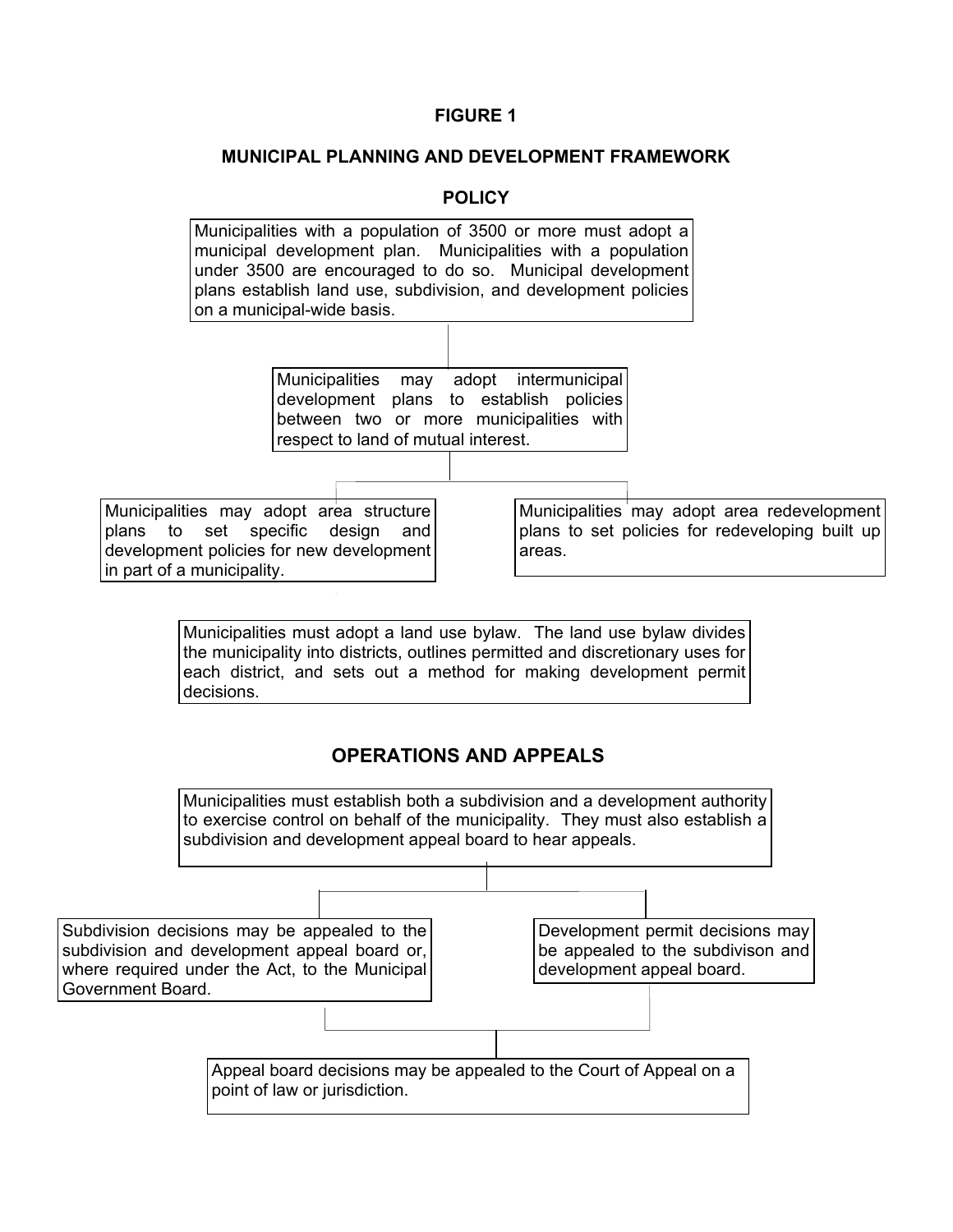#### **MUNICIPAL PLANNING AND DEVELOPMENT FRAMEWORK**

#### **POLICY**



Subdivision decisions may be appealed to the subdivision and development appeal board or, where required under the Act, to the Municipal Government Board.

Development permit decisions may be appealed to the subdivison and development appeal board.

Appeal board decisions may be appealed to the Court of Appeal on a point of law or jurisdiction.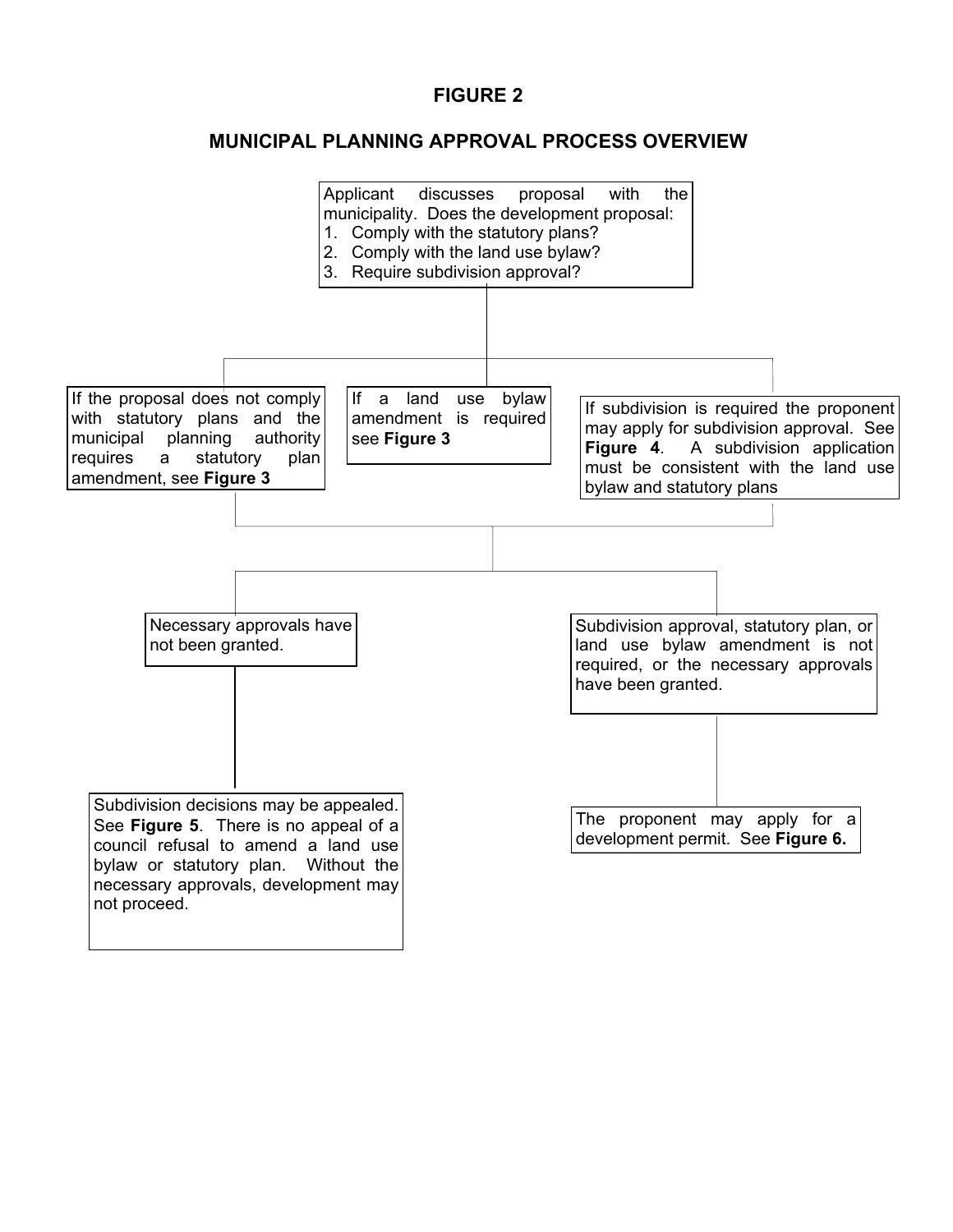## **MUNICIPAL PLANNING APPROVAL PROCESS OVERVIEW**

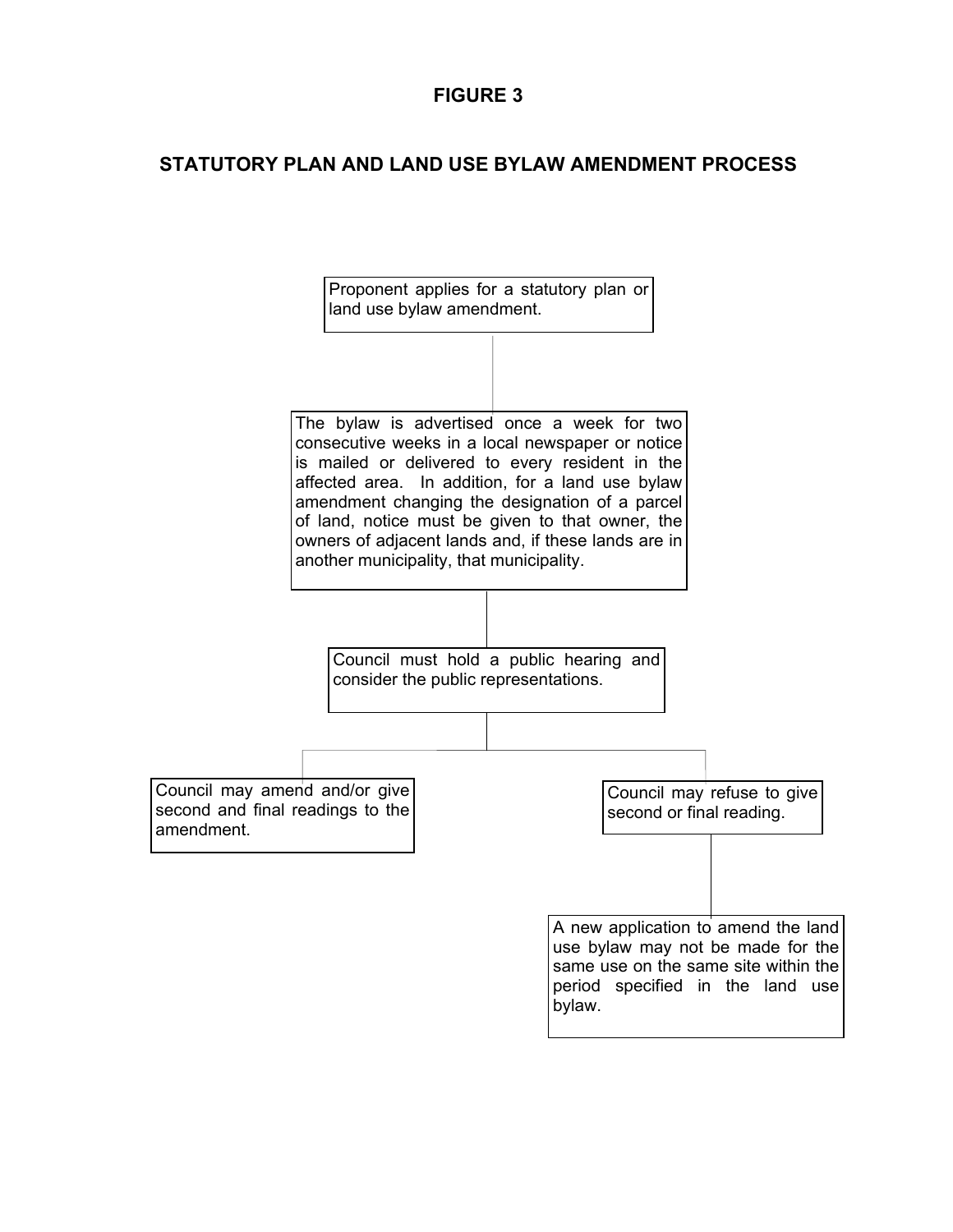## **STATUTORY PLAN AND LAND USE BYLAW AMENDMENT PROCESS**

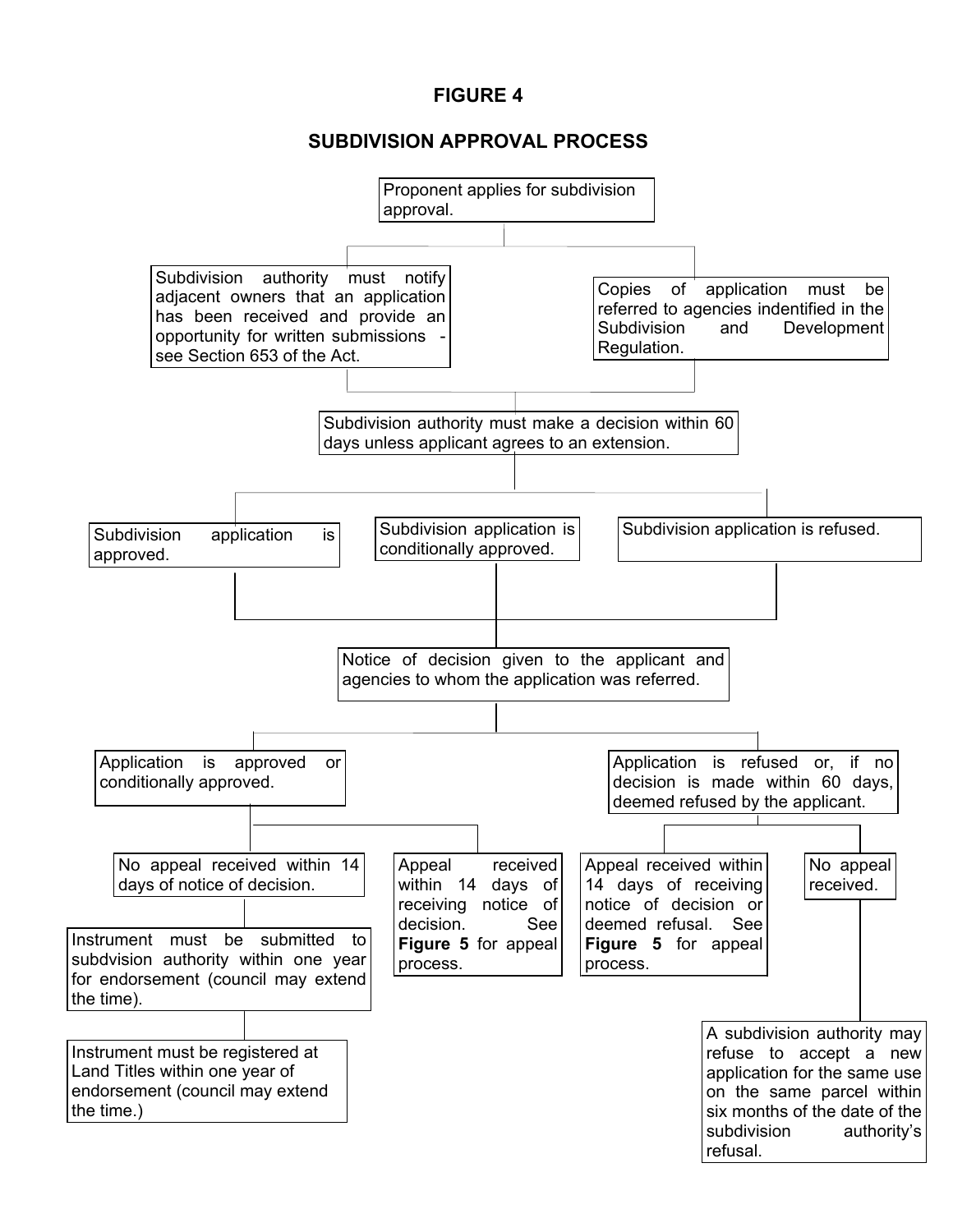## **SUBDIVISION APPROVAL PROCESS**

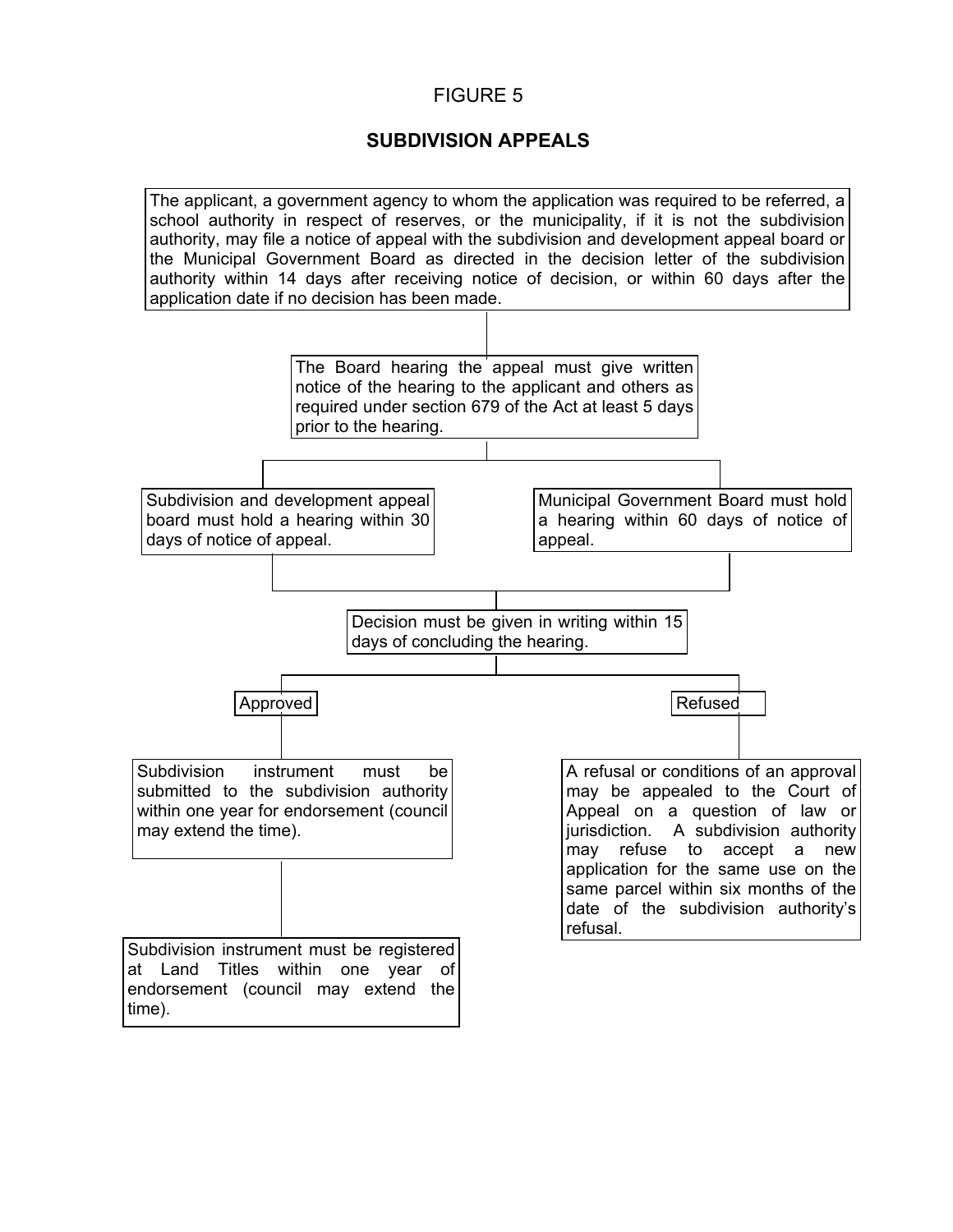## **SUBDIVISION APPEALS**

The applicant, a government agency to whom the application was required to be referred, a school authority in respect of reserves, or the municipality, if it is not the subdivision authority, may file a notice of appeal with the subdivision and development appeal board or the Municipal Government Board as directed in the decision letter of the subdivision authority within 14 days after receiving notice of decision, or within 60 days after the application date if no decision has been made.

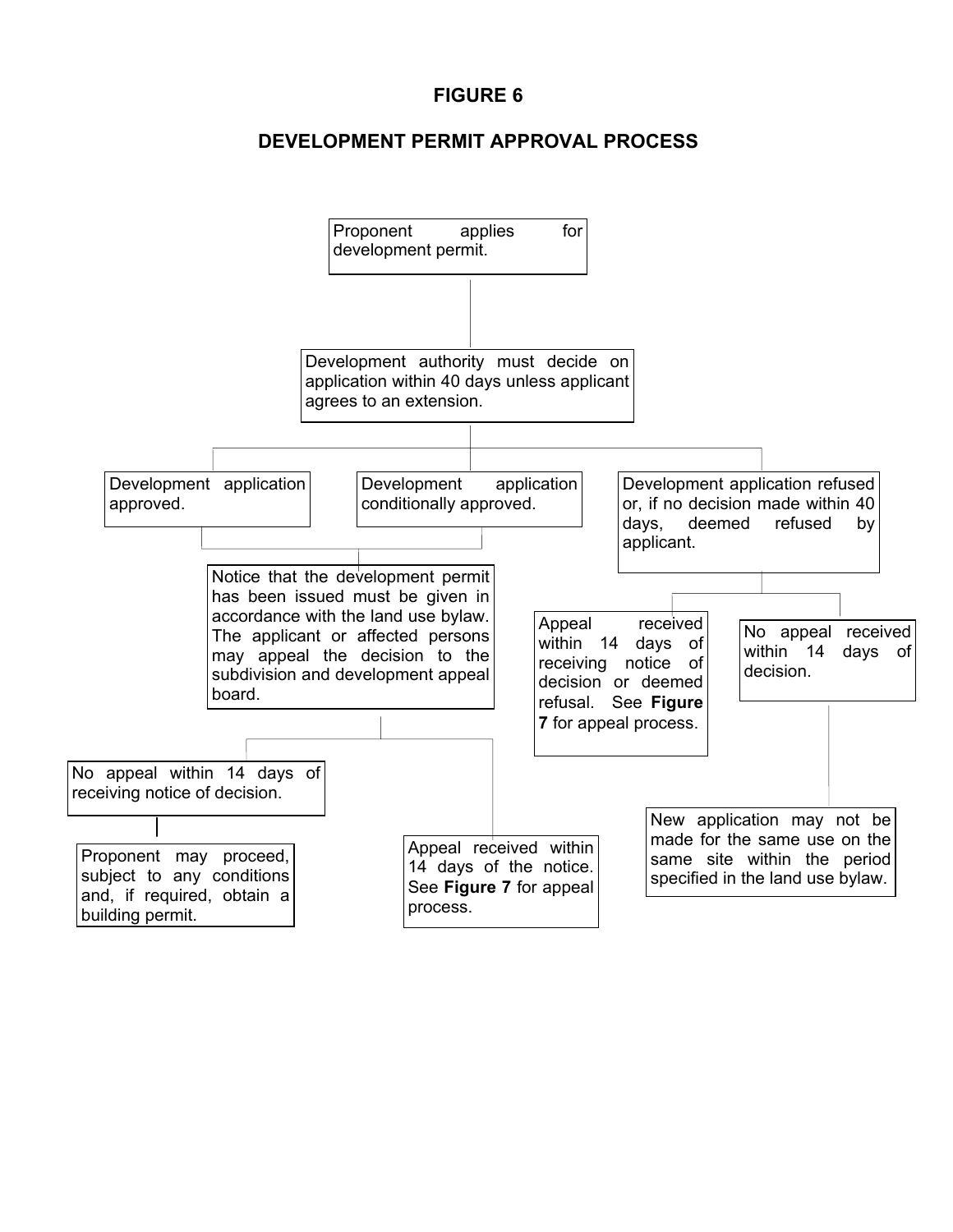## **DEVELOPMENT PERMIT APPROVAL PROCESS**